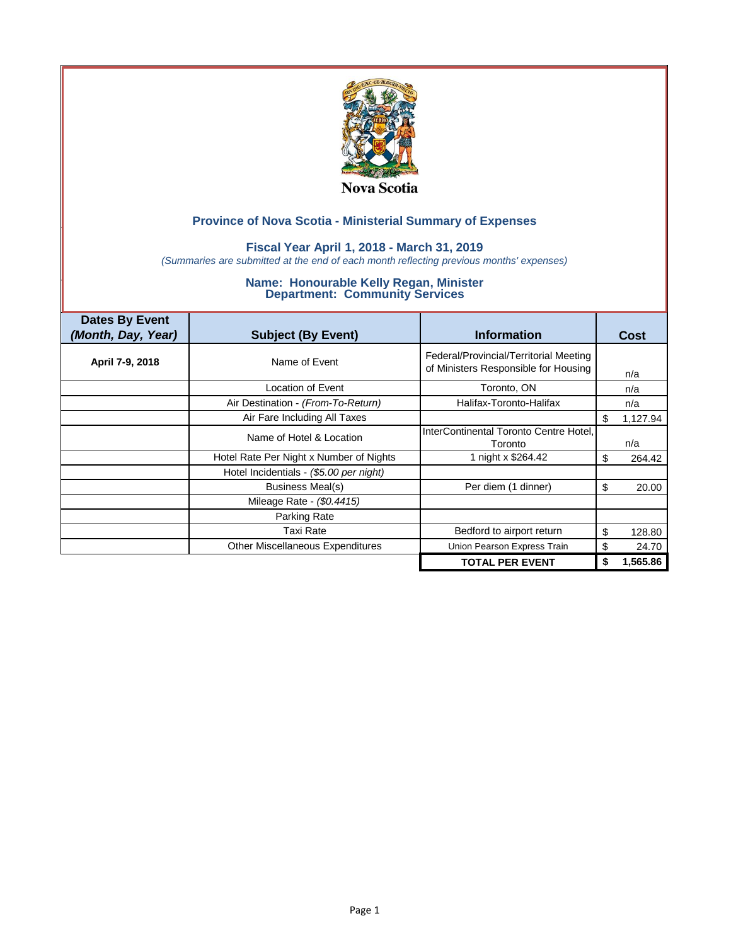

### **Fiscal Year April 1, 2018 - March 31, 2019**

*(Summaries are submitted at the end of each month reflecting previous months' expenses)*

| <b>Dates By Event</b><br>(Month, Day, Year) | <b>Subject (By Event)</b>               | <b>Information</b>                                                             | <b>Cost</b>    |
|---------------------------------------------|-----------------------------------------|--------------------------------------------------------------------------------|----------------|
| April 7-9, 2018                             | Name of Event                           | Federal/Provincial/Territorial Meeting<br>of Ministers Responsible for Housing | n/a            |
|                                             | Location of Event                       | Toronto, ON                                                                    | n/a            |
|                                             | Air Destination - (From-To-Return)      | Halifax-Toronto-Halifax                                                        | n/a            |
|                                             | Air Fare Including All Taxes            |                                                                                | \$<br>1,127.94 |
|                                             | Name of Hotel & Location                | InterContinental Toronto Centre Hotel,<br>Toronto                              | n/a            |
|                                             | Hotel Rate Per Night x Number of Nights | 1 night x \$264.42                                                             | 264.42<br>S    |
|                                             | Hotel Incidentials - (\$5.00 per night) |                                                                                |                |
|                                             | Business Meal(s)                        | Per diem (1 dinner)                                                            | 20.00<br>S     |
|                                             | Mileage Rate - (\$0.4415)               |                                                                                |                |
|                                             | Parking Rate                            |                                                                                |                |
|                                             | Taxi Rate                               | Bedford to airport return                                                      | \$<br>128.80   |
|                                             | <b>Other Miscellaneous Expenditures</b> | Union Pearson Express Train                                                    | 24.70<br>\$    |
|                                             |                                         | <b>TOTAL PER EVENT</b>                                                         | 1,565.86<br>\$ |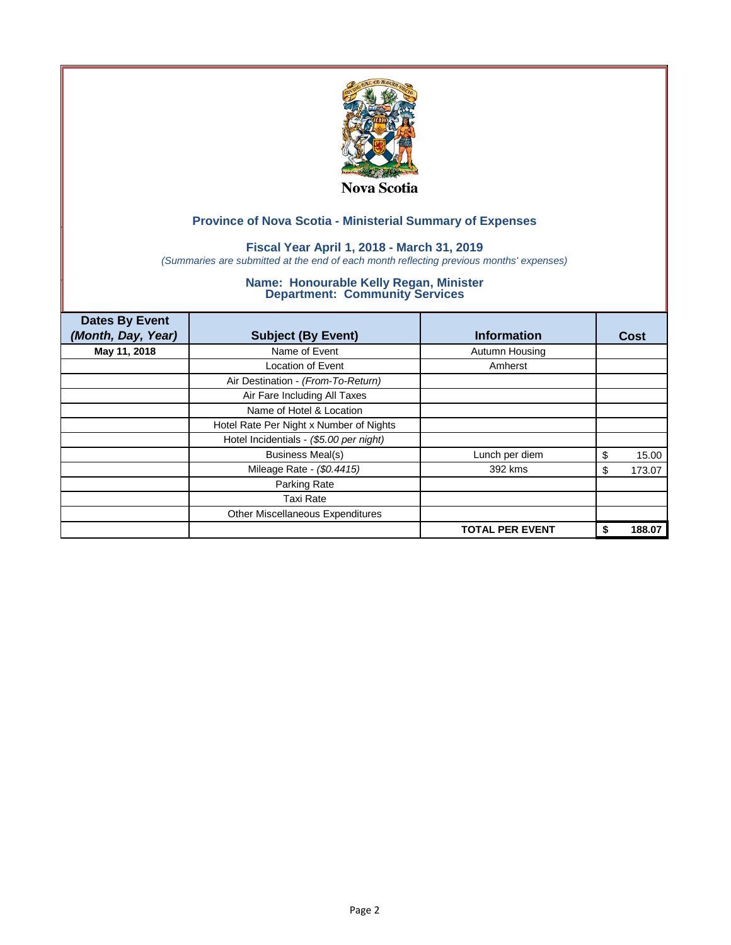

### **Fiscal Year April 1, 2018 - March 31, 2019**

*(Summaries are submitted at the end of each month reflecting previous months' expenses)*

| <b>Dates By Event</b><br>(Month, Day, Year) | <b>Subject (By Event)</b>               | <b>Information</b>     |    | Cost   |
|---------------------------------------------|-----------------------------------------|------------------------|----|--------|
| May 11, 2018                                | Name of Event                           | Autumn Housing         |    |        |
|                                             | <b>Location of Event</b>                | Amherst                |    |        |
|                                             | Air Destination - (From-To-Return)      |                        |    |        |
|                                             | Air Fare Including All Taxes            |                        |    |        |
|                                             | Name of Hotel & Location                |                        |    |        |
|                                             | Hotel Rate Per Night x Number of Nights |                        |    |        |
|                                             | Hotel Incidentials - (\$5.00 per night) |                        |    |        |
|                                             | <b>Business Meal(s)</b>                 | Lunch per diem         | \$ | 15.00  |
|                                             | Mileage Rate - (\$0.4415)               | 392 kms                | S  | 173.07 |
|                                             | Parking Rate                            |                        |    |        |
|                                             | <b>Taxi Rate</b>                        |                        |    |        |
|                                             | Other Miscellaneous Expenditures        |                        |    |        |
|                                             |                                         | <b>TOTAL PER EVENT</b> |    | 188.07 |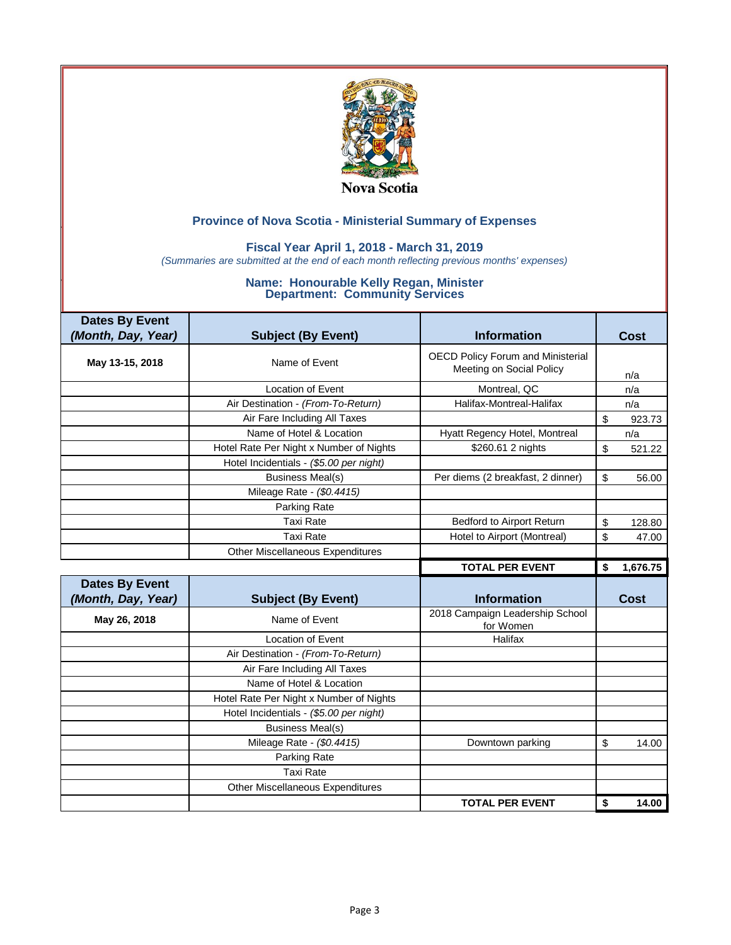

### **Fiscal Year April 1, 2018 - March 31, 2019**

*(Summaries are submitted at the end of each month reflecting previous months' expenses)*

| <b>Dates By Event</b> |                                         |                                                                      |                |
|-----------------------|-----------------------------------------|----------------------------------------------------------------------|----------------|
| (Month, Day, Year)    | <b>Subject (By Event)</b>               | <b>Information</b>                                                   | Cost           |
| May 13-15, 2018       | Name of Event                           | <b>OECD Policy Forum and Ministerial</b><br>Meeting on Social Policy | n/a            |
|                       | <b>Location of Event</b>                | Montreal, QC                                                         | n/a            |
|                       | Air Destination - (From-To-Return)      | Halifax-Montreal-Halifax                                             | n/a            |
|                       | Air Fare Including All Taxes            |                                                                      | \$<br>923.73   |
|                       | Name of Hotel & Location                | Hyatt Regency Hotel, Montreal                                        | n/a            |
|                       | Hotel Rate Per Night x Number of Nights | \$260.61 2 nights                                                    | \$<br>521.22   |
|                       | Hotel Incidentials - (\$5.00 per night) |                                                                      |                |
|                       | <b>Business Meal(s)</b>                 | Per diems (2 breakfast, 2 dinner)                                    | \$<br>56.00    |
|                       | Mileage Rate - (\$0.4415)               |                                                                      |                |
|                       | Parking Rate                            |                                                                      |                |
|                       | <b>Taxi Rate</b>                        | Bedford to Airport Return                                            | \$<br>128.80   |
|                       | <b>Taxi Rate</b>                        | Hotel to Airport (Montreal)                                          | \$<br>47.00    |
|                       | Other Miscellaneous Expenditures        |                                                                      |                |
|                       |                                         |                                                                      |                |
|                       |                                         | <b>TOTAL PER EVENT</b>                                               | \$<br>1,676.75 |
| <b>Dates By Event</b> |                                         |                                                                      |                |
| (Month, Day, Year)    | <b>Subject (By Event)</b>               | <b>Information</b>                                                   | Cost           |
| May 26, 2018          | Name of Event                           | 2018 Campaign Leadership School<br>for Women                         |                |
|                       | <b>Location of Event</b>                | Halifax                                                              |                |
|                       | Air Destination - (From-To-Return)      |                                                                      |                |
|                       | Air Fare Including All Taxes            |                                                                      |                |
|                       | Name of Hotel & Location                |                                                                      |                |
|                       | Hotel Rate Per Night x Number of Nights |                                                                      |                |
|                       | Hotel Incidentials - (\$5.00 per night) |                                                                      |                |
|                       | <b>Business Meal(s)</b>                 |                                                                      |                |
|                       | Mileage Rate - (\$0.4415)               | Downtown parking                                                     | \$<br>14.00    |
|                       | Parking Rate                            |                                                                      |                |
|                       | <b>Taxi Rate</b>                        |                                                                      |                |
|                       | Other Miscellaneous Expenditures        |                                                                      |                |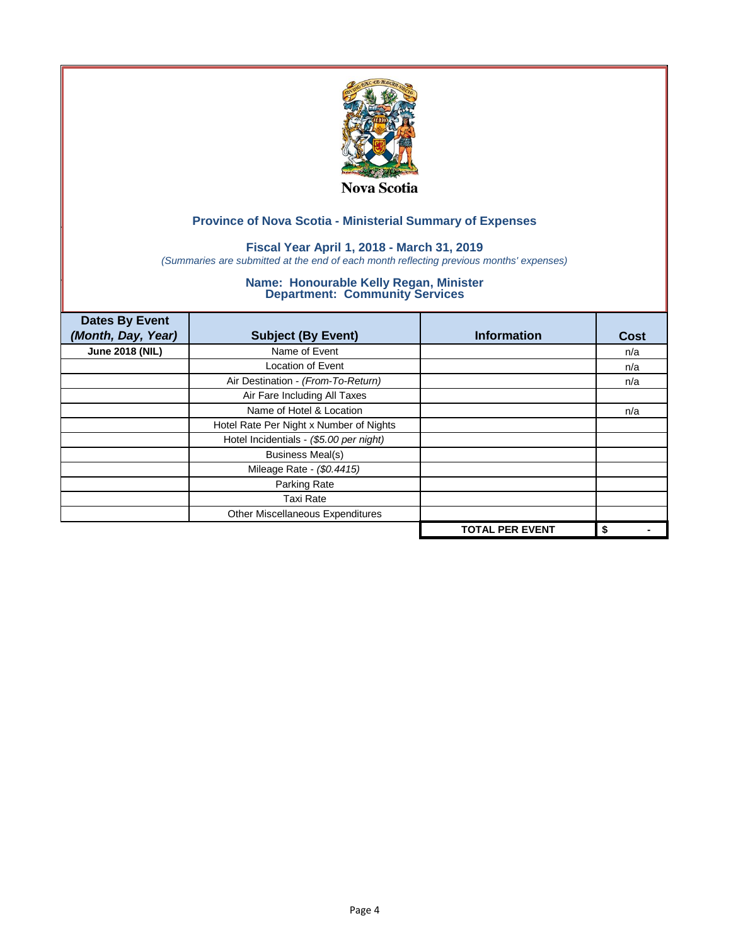

### **Fiscal Year April 1, 2018 - March 31, 2019**

*(Summaries are submitted at the end of each month reflecting previous months' expenses)*

| <b>Dates By Event</b><br>(Month, Day, Year) | <b>Subject (By Event)</b>               | <b>Information</b>     | <b>Cost</b> |
|---------------------------------------------|-----------------------------------------|------------------------|-------------|
| <b>June 2018 (NIL)</b>                      | Name of Event                           |                        | n/a         |
|                                             | Location of Event                       |                        | n/a         |
|                                             | Air Destination - (From-To-Return)      |                        | n/a         |
|                                             | Air Fare Including All Taxes            |                        |             |
|                                             | Name of Hotel & Location                |                        | n/a         |
|                                             | Hotel Rate Per Night x Number of Nights |                        |             |
|                                             | Hotel Incidentials - (\$5.00 per night) |                        |             |
|                                             | <b>Business Meal(s)</b>                 |                        |             |
|                                             | Mileage Rate - (\$0.4415)               |                        |             |
|                                             | Parking Rate                            |                        |             |
|                                             | <b>Taxi Rate</b>                        |                        |             |
|                                             | Other Miscellaneous Expenditures        |                        |             |
|                                             |                                         | <b>TOTAL PER EVENT</b> | \$          |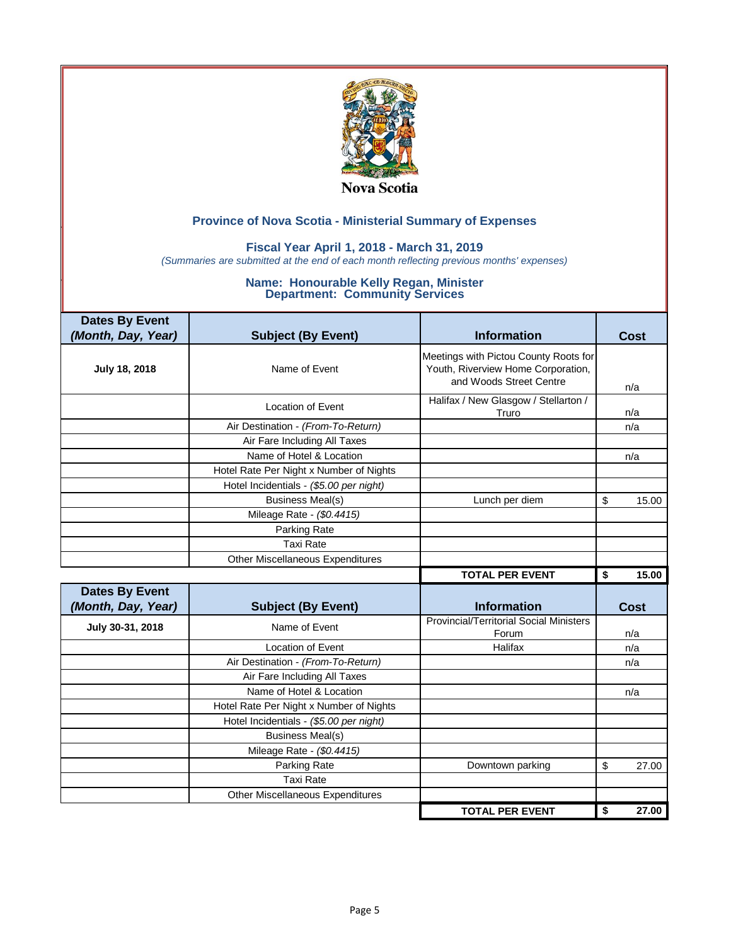

### **Fiscal Year April 1, 2018 - March 31, 2019**

*(Summaries are submitted at the end of each month reflecting previous months' expenses)*

| <b>Dates By Event</b> |                                         |                                                                                                        |             |
|-----------------------|-----------------------------------------|--------------------------------------------------------------------------------------------------------|-------------|
| (Month, Day, Year)    | <b>Subject (By Event)</b>               | <b>Information</b>                                                                                     | Cost        |
| July 18, 2018         | Name of Event                           | Meetings with Pictou County Roots for<br>Youth, Riverview Home Corporation,<br>and Woods Street Centre | n/a         |
|                       | <b>Location of Event</b>                | Halifax / New Glasgow / Stellarton /<br>Truro                                                          | n/a         |
|                       | Air Destination - (From-To-Return)      |                                                                                                        | n/a         |
|                       | Air Fare Including All Taxes            |                                                                                                        |             |
|                       | Name of Hotel & Location                |                                                                                                        | n/a         |
|                       | Hotel Rate Per Night x Number of Nights |                                                                                                        |             |
|                       | Hotel Incidentials - (\$5.00 per night) |                                                                                                        |             |
|                       | <b>Business Meal(s)</b>                 | Lunch per diem                                                                                         | \$<br>15.00 |
|                       | Mileage Rate - (\$0.4415)               |                                                                                                        |             |
|                       | Parking Rate                            |                                                                                                        |             |
|                       | <b>Taxi Rate</b>                        |                                                                                                        |             |
|                       | Other Miscellaneous Expenditures        |                                                                                                        |             |
|                       |                                         |                                                                                                        |             |
|                       |                                         | <b>TOTAL PER EVENT</b>                                                                                 | \$          |
| <b>Dates By Event</b> |                                         |                                                                                                        | 15.00       |
| (Month, Day, Year)    | <b>Subject (By Event)</b>               | <b>Information</b>                                                                                     | <b>Cost</b> |
| July 30-31, 2018      | Name of Event                           | <b>Provincial/Territorial Social Ministers</b><br>Forum                                                | n/a         |
|                       | Location of Event                       | Halifax                                                                                                | n/a         |
|                       | Air Destination - (From-To-Return)      |                                                                                                        | n/a         |
|                       | Air Fare Including All Taxes            |                                                                                                        |             |
|                       | Name of Hotel & Location                |                                                                                                        | n/a         |
|                       | Hotel Rate Per Night x Number of Nights |                                                                                                        |             |
|                       | Hotel Incidentials - (\$5.00 per night) |                                                                                                        |             |
|                       | <b>Business Meal(s)</b>                 |                                                                                                        |             |
|                       | Mileage Rate - (\$0.4415)               |                                                                                                        |             |
|                       | Parking Rate                            | Downtown parking                                                                                       | \$<br>27.00 |
|                       | <b>Taxi Rate</b>                        |                                                                                                        |             |
|                       | Other Miscellaneous Expenditures        |                                                                                                        |             |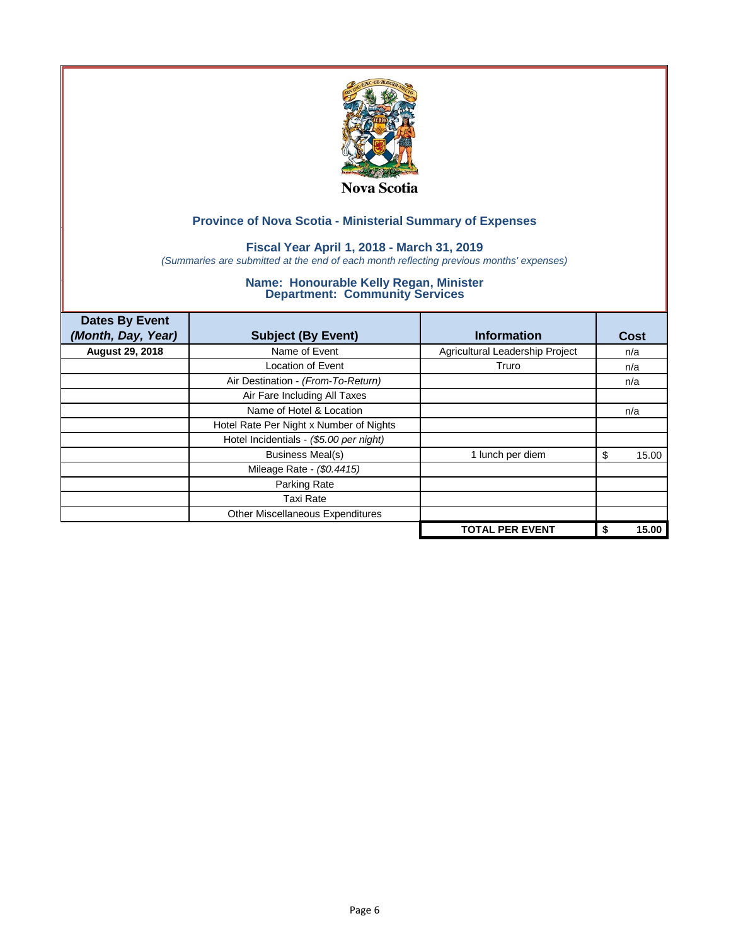

### **Fiscal Year April 1, 2018 - March 31, 2019**

*(Summaries are submitted at the end of each month reflecting previous months' expenses)*

| <b>Dates By Event</b>  |                                         |                                 |             |
|------------------------|-----------------------------------------|---------------------------------|-------------|
| (Month, Day, Year)     | <b>Subject (By Event)</b>               | <b>Information</b>              | Cost        |
| <b>August 29, 2018</b> | Name of Event                           | Agricultural Leadership Project | n/a         |
|                        | <b>Location of Event</b>                | Truro                           | n/a         |
|                        | Air Destination - (From-To-Return)      |                                 | n/a         |
|                        | Air Fare Including All Taxes            |                                 |             |
|                        | Name of Hotel & Location                |                                 | n/a         |
|                        | Hotel Rate Per Night x Number of Nights |                                 |             |
|                        | Hotel Incidentials - (\$5.00 per night) |                                 |             |
|                        | <b>Business Meal(s)</b>                 | 1 lunch per diem                | 15.00<br>\$ |
|                        | Mileage Rate - (\$0.4415)               |                                 |             |
|                        | Parking Rate                            |                                 |             |
|                        | Taxi Rate                               |                                 |             |
|                        | Other Miscellaneous Expenditures        |                                 |             |
|                        |                                         | <b>TOTAL PER EVENT</b>          | 15.00<br>\$ |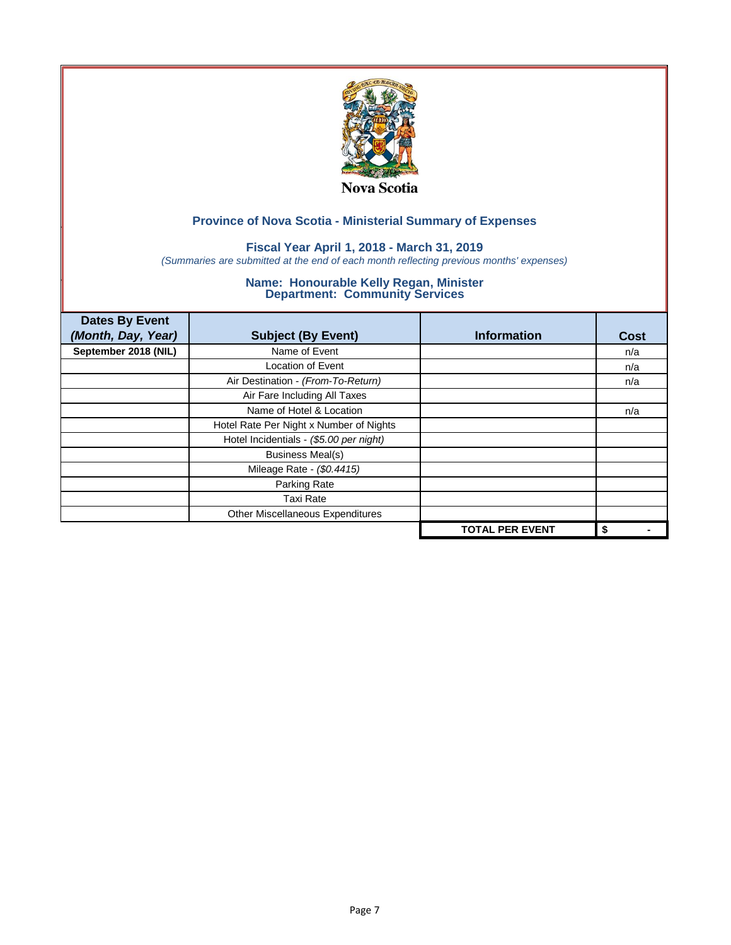

### **Fiscal Year April 1, 2018 - March 31, 2019**

*(Summaries are submitted at the end of each month reflecting previous months' expenses)*

| <b>Dates By Event</b><br>(Month, Day, Year) | <b>Subject (By Event)</b>               | <b>Information</b>     | <b>Cost</b> |
|---------------------------------------------|-----------------------------------------|------------------------|-------------|
| September 2018 (NIL)                        | Name of Event                           |                        | n/a         |
|                                             | <b>Location of Event</b>                |                        | n/a         |
|                                             | Air Destination - (From-To-Return)      |                        | n/a         |
|                                             | Air Fare Including All Taxes            |                        |             |
|                                             | Name of Hotel & Location                |                        | n/a         |
|                                             | Hotel Rate Per Night x Number of Nights |                        |             |
|                                             | Hotel Incidentials - (\$5.00 per night) |                        |             |
|                                             | <b>Business Meal(s)</b>                 |                        |             |
|                                             | Mileage Rate - (\$0.4415)               |                        |             |
|                                             | Parking Rate                            |                        |             |
|                                             | Taxi Rate                               |                        |             |
|                                             | Other Miscellaneous Expenditures        |                        |             |
|                                             |                                         | <b>TOTAL PER EVENT</b> | \$          |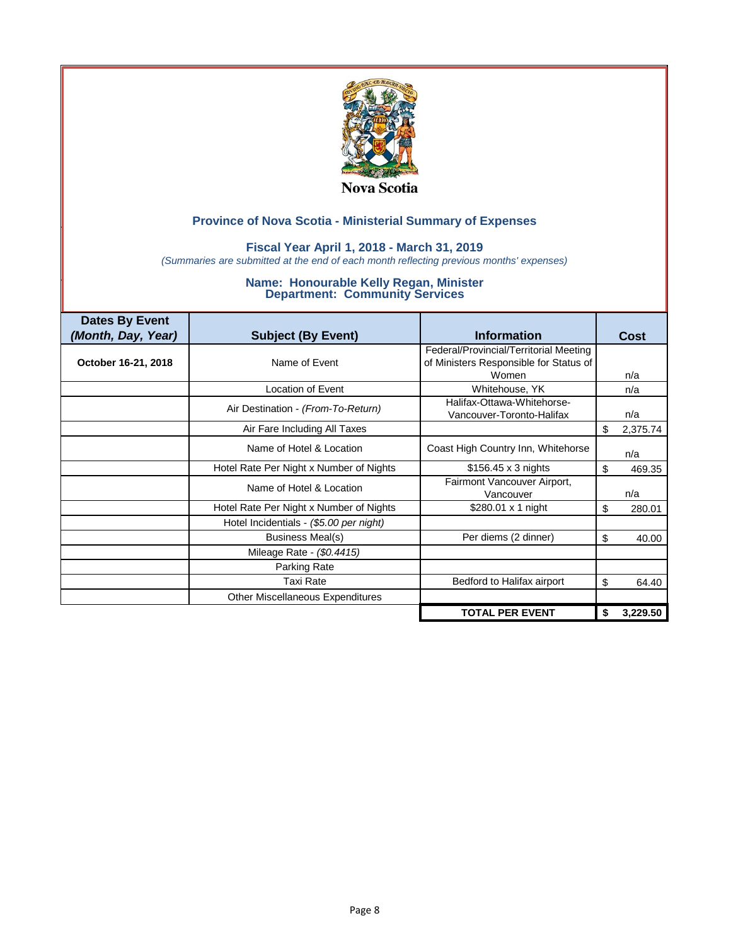

### **Fiscal Year April 1, 2018 - March 31, 2019**

*(Summaries are submitted at the end of each month reflecting previous months' expenses)*

| <b>Dates By Event</b> |                                         |                                                                                           |      |          |
|-----------------------|-----------------------------------------|-------------------------------------------------------------------------------------------|------|----------|
| (Month, Day, Year)    | <b>Subject (By Event)</b>               | <b>Information</b>                                                                        | Cost |          |
| October 16-21, 2018   | Name of Event                           | Federal/Provincial/Territorial Meeting<br>of Ministers Responsible for Status of<br>Women | n/a  |          |
|                       | <b>Location of Event</b>                | Whitehouse, YK                                                                            | n/a  |          |
|                       | Air Destination - (From-To-Return)      | Halifax-Ottawa-Whitehorse-<br>Vancouver-Toronto-Halifax                                   | n/a  |          |
|                       | Air Fare Including All Taxes            |                                                                                           | \$   | 2,375.74 |
|                       | Name of Hotel & Location                | Coast High Country Inn, Whitehorse                                                        | n/a  |          |
|                       | Hotel Rate Per Night x Number of Nights | $$156.45 \times 3$ nights                                                                 | \$   | 469.35   |
|                       | Name of Hotel & Location                | Fairmont Vancouver Airport,<br>Vancouver                                                  | n/a  |          |
|                       | Hotel Rate Per Night x Number of Nights | \$280.01 x 1 night                                                                        | \$   | 280.01   |
|                       | Hotel Incidentials - (\$5.00 per night) |                                                                                           |      |          |
|                       | <b>Business Meal(s)</b>                 | Per diems (2 dinner)                                                                      | \$   | 40.00    |
|                       | Mileage Rate - (\$0.4415)               |                                                                                           |      |          |
|                       | Parking Rate                            |                                                                                           |      |          |
|                       | <b>Taxi Rate</b>                        | Bedford to Halifax airport                                                                | \$   | 64.40    |
|                       | Other Miscellaneous Expenditures        |                                                                                           |      |          |
|                       |                                         | <b>TOTAL PER EVENT</b>                                                                    | \$   | 3,229.50 |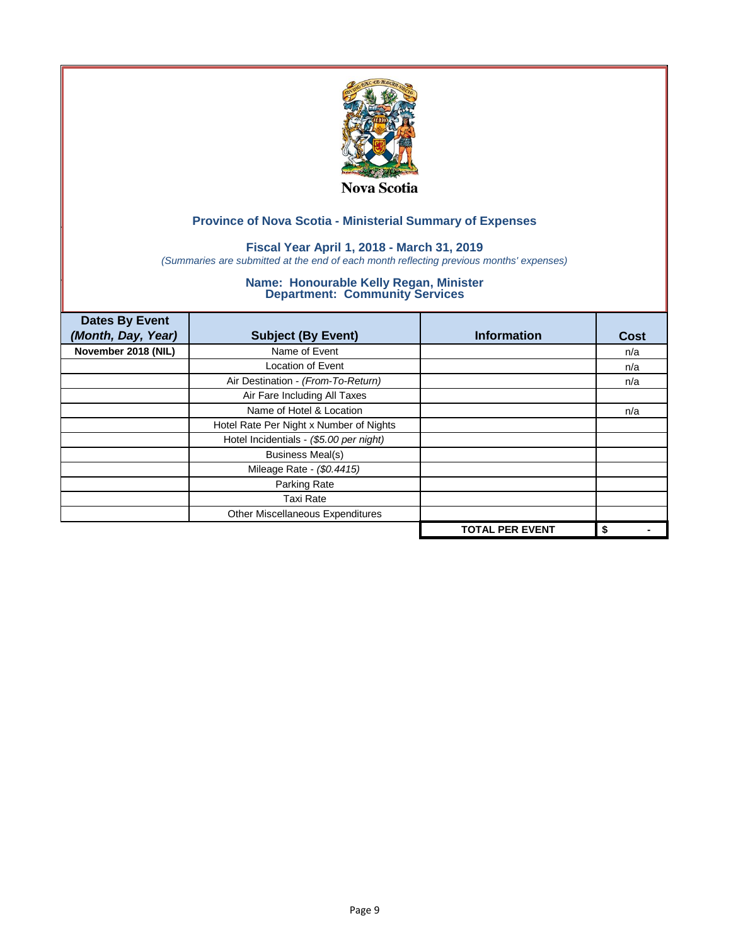

### **Fiscal Year April 1, 2018 - March 31, 2019**

*(Summaries are submitted at the end of each month reflecting previous months' expenses)*

| <b>Dates By Event</b><br>(Month, Day, Year) | <b>Subject (By Event)</b>               | <b>Information</b>     | Cost |
|---------------------------------------------|-----------------------------------------|------------------------|------|
| November 2018 (NIL)                         | Name of Event                           |                        | n/a  |
|                                             | <b>Location of Event</b>                |                        | n/a  |
|                                             | Air Destination - (From-To-Return)      |                        | n/a  |
|                                             | Air Fare Including All Taxes            |                        |      |
|                                             | Name of Hotel & Location                |                        | n/a  |
|                                             | Hotel Rate Per Night x Number of Nights |                        |      |
|                                             | Hotel Incidentials - (\$5.00 per night) |                        |      |
|                                             | <b>Business Meal(s)</b>                 |                        |      |
|                                             | Mileage Rate - (\$0.4415)               |                        |      |
|                                             | Parking Rate                            |                        |      |
|                                             | <b>Taxi Rate</b>                        |                        |      |
|                                             | Other Miscellaneous Expenditures        |                        |      |
|                                             |                                         | <b>TOTAL PER EVENT</b> | \$   |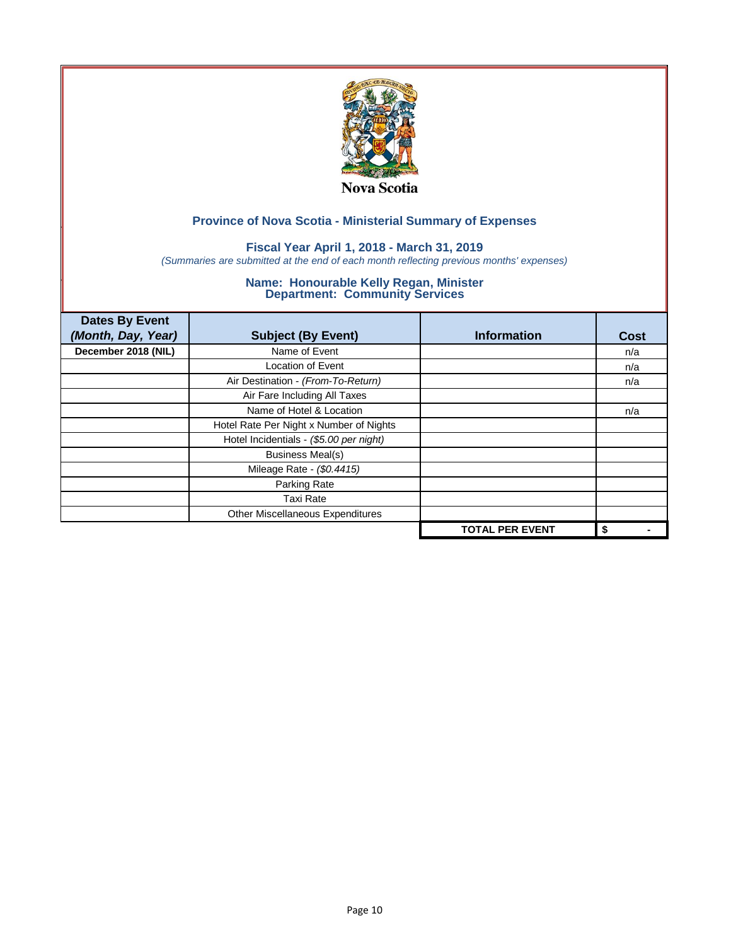

### **Fiscal Year April 1, 2018 - March 31, 2019**

*(Summaries are submitted at the end of each month reflecting previous months' expenses)*

| <b>Dates By Event</b><br>(Month, Day, Year) | <b>Subject (By Event)</b>               | <b>Information</b>     | <b>Cost</b> |
|---------------------------------------------|-----------------------------------------|------------------------|-------------|
| December 2018 (NIL)                         | Name of Event                           |                        | n/a         |
|                                             | <b>Location of Event</b>                |                        | n/a         |
|                                             | Air Destination - (From-To-Return)      |                        | n/a         |
|                                             | Air Fare Including All Taxes            |                        |             |
|                                             | Name of Hotel & Location                |                        | n/a         |
|                                             | Hotel Rate Per Night x Number of Nights |                        |             |
|                                             | Hotel Incidentials - (\$5.00 per night) |                        |             |
|                                             | <b>Business Meal(s)</b>                 |                        |             |
|                                             | Mileage Rate - (\$0.4415)               |                        |             |
|                                             | Parking Rate                            |                        |             |
|                                             | <b>Taxi Rate</b>                        |                        |             |
|                                             | Other Miscellaneous Expenditures        |                        |             |
|                                             |                                         | <b>TOTAL PER EVENT</b> | \$          |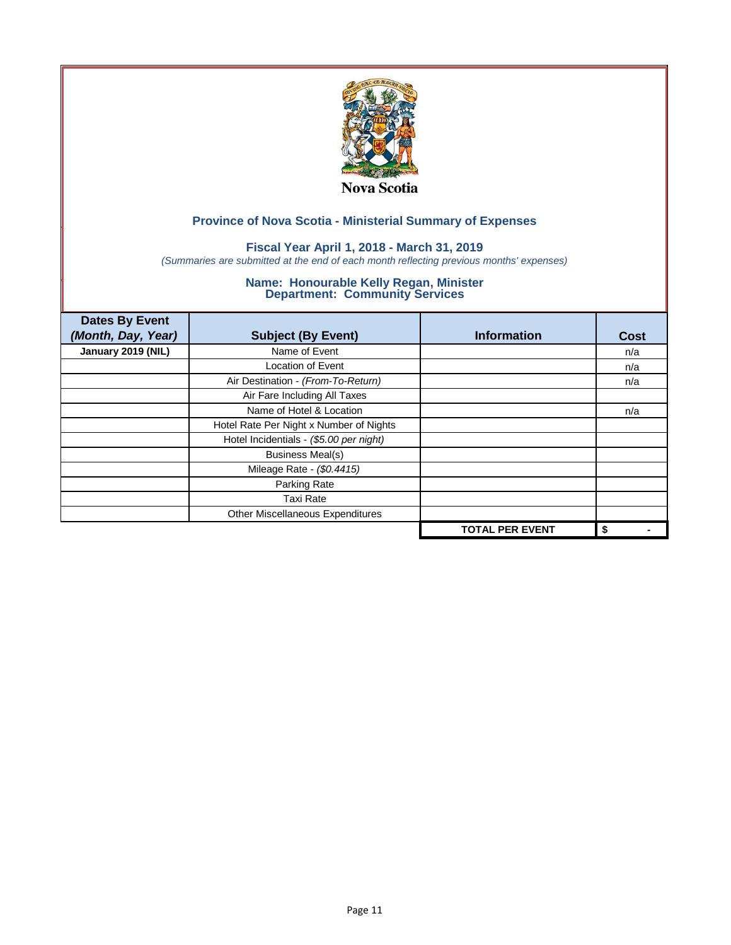

### **Fiscal Year April 1, 2018 - March 31, 2019**

*(Summaries are submitted at the end of each month reflecting previous months' expenses)*

| <b>Dates By Event</b><br>(Month, Day, Year) | <b>Subject (By Event)</b>               | <b>Information</b>     | <b>Cost</b> |
|---------------------------------------------|-----------------------------------------|------------------------|-------------|
| January 2019 (NIL)                          | Name of Event                           |                        | n/a         |
|                                             | <b>Location of Event</b>                |                        | n/a         |
|                                             | Air Destination - (From-To-Return)      |                        | n/a         |
|                                             | Air Fare Including All Taxes            |                        |             |
|                                             | Name of Hotel & Location                |                        | n/a         |
|                                             | Hotel Rate Per Night x Number of Nights |                        |             |
|                                             | Hotel Incidentials - (\$5.00 per night) |                        |             |
|                                             | <b>Business Meal(s)</b>                 |                        |             |
|                                             | Mileage Rate - (\$0.4415)               |                        |             |
|                                             | Parking Rate                            |                        |             |
|                                             | <b>Taxi Rate</b>                        |                        |             |
|                                             | Other Miscellaneous Expenditures        |                        |             |
|                                             |                                         | <b>TOTAL PER EVENT</b> | \$          |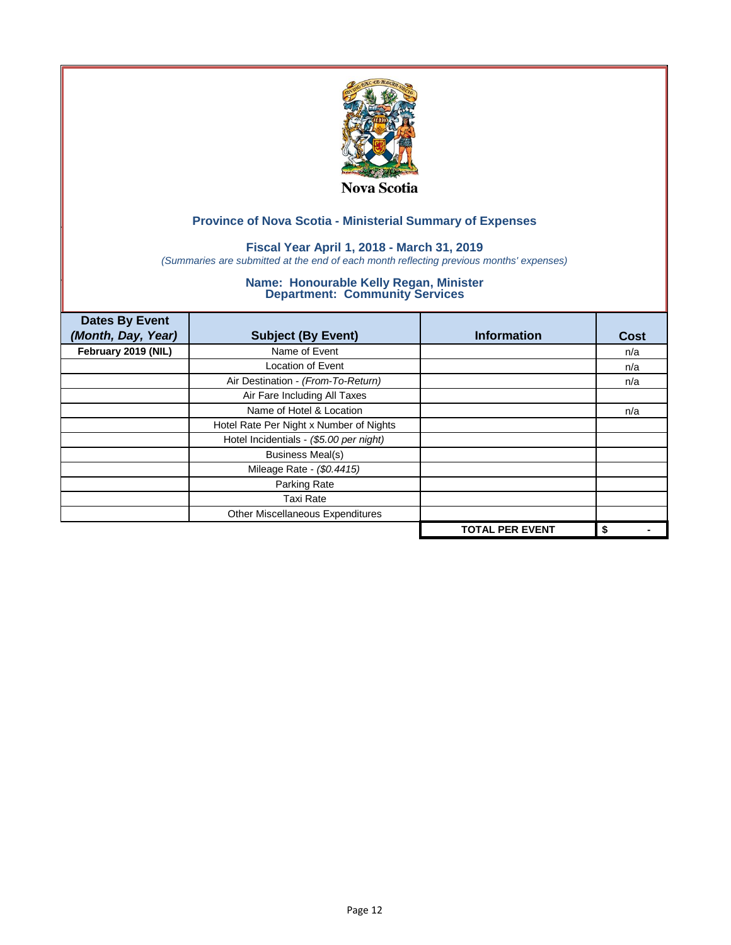

### **Fiscal Year April 1, 2018 - March 31, 2019**

*(Summaries are submitted at the end of each month reflecting previous months' expenses)*

| <b>Dates By Event</b><br>(Month, Day, Year) | <b>Subject (By Event)</b>               | <b>Information</b>     | <b>Cost</b> |
|---------------------------------------------|-----------------------------------------|------------------------|-------------|
| February 2019 (NIL)                         | Name of Event                           |                        | n/a         |
|                                             | <b>Location of Event</b>                |                        | n/a         |
|                                             | Air Destination - (From-To-Return)      |                        | n/a         |
|                                             | Air Fare Including All Taxes            |                        |             |
|                                             | Name of Hotel & Location                |                        | n/a         |
|                                             | Hotel Rate Per Night x Number of Nights |                        |             |
|                                             | Hotel Incidentials - (\$5.00 per night) |                        |             |
|                                             | <b>Business Meal(s)</b>                 |                        |             |
|                                             | Mileage Rate - (\$0.4415)               |                        |             |
|                                             | Parking Rate                            |                        |             |
|                                             | <b>Taxi Rate</b>                        |                        |             |
|                                             | Other Miscellaneous Expenditures        |                        |             |
|                                             |                                         | <b>TOTAL PER EVENT</b> | \$          |